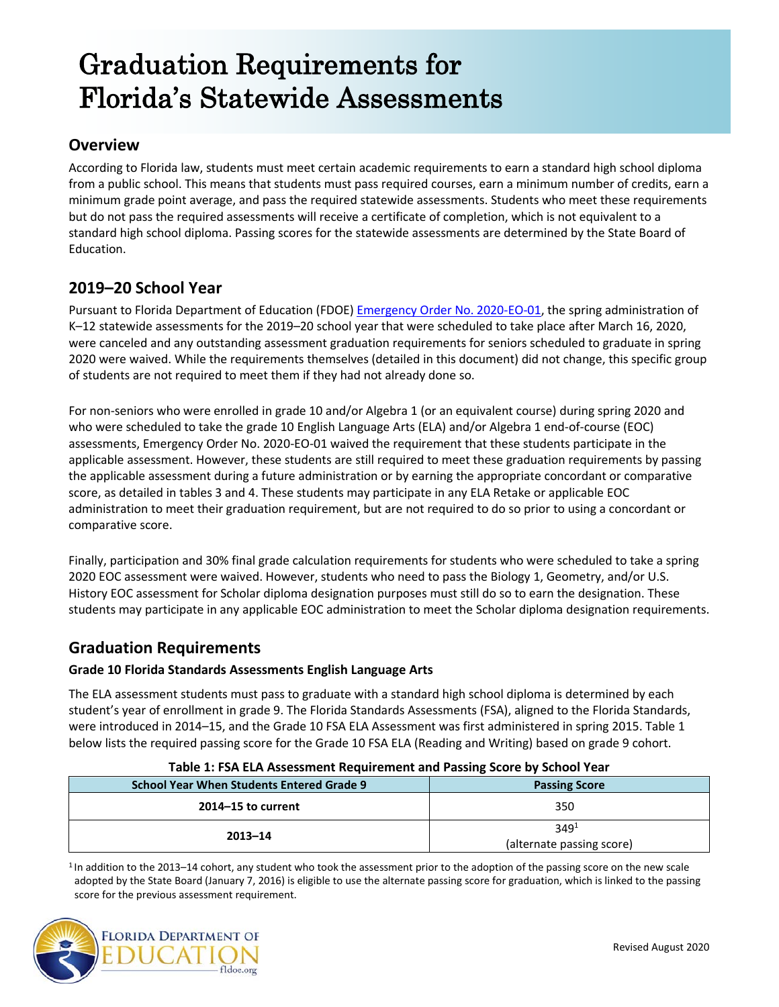# Graduation Requirements for Florida's Statewide Assessments

# **Overview**

According to Florida law, students must meet certain academic requirements to earn a standard high school diploma from a public school. This means that students must pass required courses, earn a minimum number of credits, earn a minimum grade point average, and pass the required statewide assessments. Students who meet these requirements but do not pass the required assessments will receive a certificate of completion, which is not equivalent to a standard high school diploma. Passing scores for the statewide assessments are determined by the State Board of Education.

# **2019–20 School Year**

Pursuant to Florida Department of Education (FDOE) [Emergency Order No. 2020-EO-01,](http://www.fldoe.org/core/fileparse.php/19861/urlt/DOEORDERNO2020-EO-01.pdf) the spring administration of K–12 statewide assessments for the 2019–20 school year that were scheduled to take place after March 16, 2020, were canceled and any outstanding assessment graduation requirements for seniors scheduled to graduate in spring 2020 were waived. While the requirements themselves (detailed in this document) did not change, this specific group of students are not required to meet them if they had not already done so.

For non-seniors who were enrolled in grade 10 and/or Algebra 1 (or an equivalent course) during spring 2020 and who were scheduled to take the grade 10 English Language Arts (ELA) and/or Algebra 1 end-of-course (EOC) assessments, Emergency Order No. 2020-EO-01 waived the requirement that these students participate in the applicable assessment. However, these students are still required to meet these graduation requirements by passing the applicable assessment during a future administration or by earning the appropriate concordant or comparative score, as detailed in tables 3 and 4. These students may participate in any ELA Retake or applicable EOC administration to meet their graduation requirement, but are not required to do so prior to using a concordant or comparative score.

Finally, participation and 30% final grade calculation requirements for students who were scheduled to take a spring 2020 EOC assessment were waived. However, students who need to pass the Biology 1, Geometry, and/or U.S. History EOC assessment for Scholar diploma designation purposes must still do so to earn the designation. These students may participate in any applicable EOC administration to meet the Scholar diploma designation requirements.

# **Graduation Requirements**

### **Grade 10 Florida Standards Assessments English Language Arts**

The ELA assessment students must pass to graduate with a standard high school diploma is determined by each student's year of enrollment in grade 9. The Florida Standards Assessments (FSA), aligned to the Florida Standards, were introduced in 2014–15, and the Grade 10 FSA ELA Assessment was first administered in spring 2015. Table 1 below lists the required passing score for the Grade 10 FSA ELA (Reading and Writing) based on grade 9 cohort.

| <b>School Year When Students Entered Grade 9</b> | <b>Passing Score</b>      |  |
|--------------------------------------------------|---------------------------|--|
| $2014 - 15$ to current                           | 350                       |  |
|                                                  | 349 <sup>1</sup>          |  |
| $2013 - 14$                                      | (alternate passing score) |  |

#### **Table 1: FSA ELA Assessment Requirement and Passing Score by School Year**

<sup>1</sup> In addition to the 2013–14 cohort, any student who took the assessment prior to the adoption of the passing score on the new scale adopted by the State Board (January 7, 2016) is eligible to use the alternate passing score for graduation, which is linked to the passing score for the previous assessment requirement.

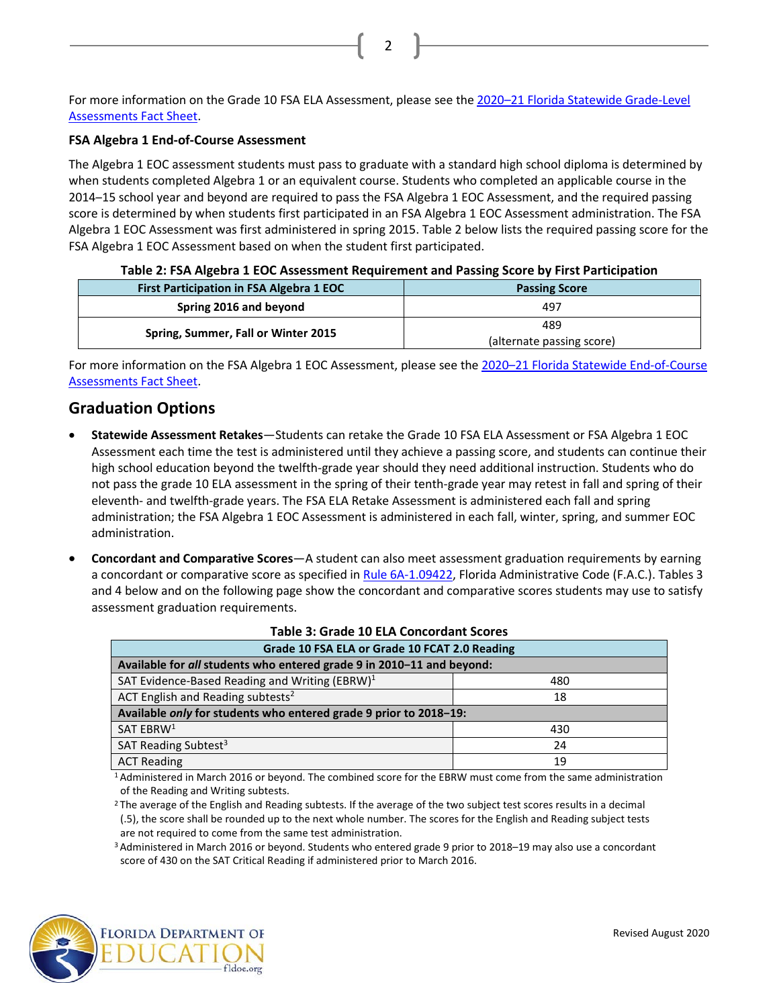For more information on the Grade 10 FSA ELA Assessment, please see the [2020–21 Florida](http://www.fldoe.org/core/fileparse.php/5663/urlt/Grade-LevelFS2021.pdf) Statewide Grade-Level [Assessments Fact Sheet.](http://www.fldoe.org/core/fileparse.php/5663/urlt/Grade-LevelFS2021.pdf)

2

#### **FSA Algebra 1 End-of-Course Assessment**

The Algebra 1 EOC assessment students must pass to graduate with a standard high school diploma is determined by when students completed Algebra 1 or an equivalent course. Students who completed an applicable course in the 2014–15 school year and beyond are required to pass the FSA Algebra 1 EOC Assessment, and the required passing score is determined by when students first participated in an FSA Algebra 1 EOC Assessment administration. The FSA Algebra 1 EOC Assessment was first administered in spring 2015. Table 2 below lists the required passing score for the FSA Algebra 1 EOC Assessment based on when the student first participated.

|  | Table 2: FSA Algebra 1 EOC Assessment Requirement and Passing Score by First Participation |  |  |  |  |
|--|--------------------------------------------------------------------------------------------|--|--|--|--|
|--|--------------------------------------------------------------------------------------------|--|--|--|--|

| <b>First Participation in FSA Algebra 1 EOC</b> | <b>Passing Score</b>      |  |  |
|-------------------------------------------------|---------------------------|--|--|
| Spring 2016 and beyond                          | 497                       |  |  |
|                                                 | 489                       |  |  |
| Spring, Summer, Fall or Winter 2015             | (alternate passing score) |  |  |

For more information on the FSA Algebra 1 EOC Assessment, please see the 2020–21 [Florida Statewide End-of-Course](http://www.fldoe.org/core/fileparse.php/5663/urlt/EOCFS2021.pdf)  [Assessments Fact Sheet.](http://www.fldoe.org/core/fileparse.php/5663/urlt/EOCFS2021.pdf)

## **Graduation Options**

- **Statewide Assessment Retakes**—Students can retake the Grade 10 FSA ELA Assessment or FSA Algebra 1 EOC Assessment each time the test is administered until they achieve a passing score, and students can continue their high school education beyond the twelfth-grade year should they need additional instruction. Students who do not pass the grade 10 ELA assessment in the spring of their tenth-grade year may retest in fall and spring of their eleventh- and twelfth-grade years. The FSA ELA Retake Assessment is administered each fall and spring administration; the FSA Algebra 1 EOC Assessment is administered in each fall, winter, spring, and summer EOC administration.
- **Concordant and Comparative Scores**—A student can also meet assessment graduation requirements by earning a concordant or comparative score as specified i[n Rule 6A-1.09422,](https://www.flrules.org/gateway/ruleNo.asp?id=6A-1.09422) Florida Administrative Code (F.A.C.). Tables 3 and 4 below and on the following page show the concordant and comparative scores students may use to satisfy assessment graduation requirements.

| Grade 10 FSA ELA or Grade 10 FCAT 2.0 Reading                         |     |  |
|-----------------------------------------------------------------------|-----|--|
| Available for all students who entered grade 9 in 2010-11 and beyond: |     |  |
| SAT Evidence-Based Reading and Writing (EBRW) $1$                     | 480 |  |
| ACT English and Reading subtests <sup>2</sup><br>18                   |     |  |
| Available only for students who entered grade 9 prior to 2018-19:     |     |  |
| SAT EBRW <sup>1</sup>                                                 | 430 |  |
| SAT Reading Subtest <sup>3</sup>                                      | 24  |  |
| <b>ACT Reading</b>                                                    | 19  |  |

#### **Table 3: Grade 10 ELA Concordant Scores**

1 Administered in March 2016 or beyond. The combined score for the EBRW must come from the same administration of the Reading and Writing subtests.

<sup>2</sup> The average of the English and Reading subtests. If the average of the two subject test scores results in a decimal (.5), the score shall be rounded up to the next whole number. The scores for the English and Reading subject tests are not required to come from the same test administration.

3 Administered in March 2016 or beyond. Students who entered grade 9 prior to 2018–19 may also use a concordant score of 430 on the SAT Critical Reading if administered prior to March 2016.

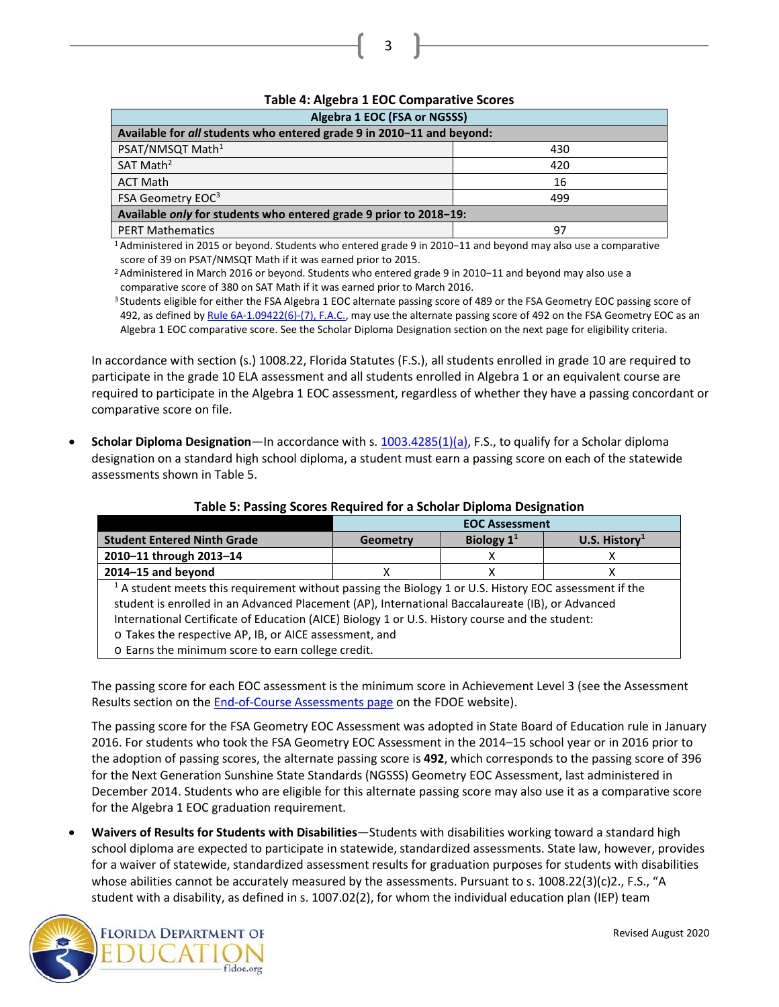| Table 4. Algebra 1 LOC Comparative Scores                                |     |  |
|--------------------------------------------------------------------------|-----|--|
| Algebra 1 EOC (FSA or NGSSS)                                             |     |  |
| Available for all students who entered grade 9 in 2010-11 and beyond:    |     |  |
| PSAT/NMSQT Math <sup>1</sup>                                             | 430 |  |
| SAT Math <sup>2</sup>                                                    | 420 |  |
| <b>ACT Math</b>                                                          | 16  |  |
| FSA Geometry EOC <sup>3</sup><br>499                                     |     |  |
| Available <i>only</i> for students who entered grade 9 prior to 2018–19: |     |  |
| <b>PERT Mathematics</b>                                                  | 97  |  |

## **Table 4: Algebra 1 EOC Comparative Scores**

3

1 Administered in 2015 or beyond. Students who entered grade 9 in 2010−11 and beyond may also use a comparative score of 39 on PSAT/NMSQT Math if it was earned prior to 2015.

2 Administered in March 2016 or beyond. Students who entered grade 9 in 2010−11 and beyond may also use a comparative score of 380 on SAT Math if it was earned prior to March 2016.

<sup>3</sup> Students eligible for either the FSA Algebra 1 EOC alternate passing score of 489 or the FSA Geometry EOC passing score of 492, as defined b[y Rule 6A-1.09422\(6\)-\(7\), F.A.C.,](https://www.flrules.org/gateway/ruleNo.asp?id=6A-1.09422) may use the alternate passing score of 492 on the FSA Geometry EOC as an Algebra 1 EOC comparative score. See the Scholar Diploma Designation section on the next page for eligibility criteria.

In accordance with section (s.) 1008.22, Florida Statutes (F.S.), all students enrolled in grade 10 are required to participate in the grade 10 ELA assessment and all students enrolled in Algebra 1 or an equivalent course are required to participate in the Algebra 1 EOC assessment, regardless of whether they have a passing concordant or comparative score on file.

• **Scholar Diploma Designation**—In accordance with s. [1003.4285\(1\)\(a\),](http://leg.state.fl.us/statutes/index.cfm?App_mode=Display_Statute&Search_String=&URL=1000-1099/1003/Sections/1003.4285.html) F.S., to qualify for a Scholar diploma designation on a standard high school diploma, a student must earn a passing score on each of the statewide assessments shown in Table 5.

|                                                                                                                   | <b>EOC Assessment</b> |              |                           |
|-------------------------------------------------------------------------------------------------------------------|-----------------------|--------------|---------------------------|
| <b>Student Entered Ninth Grade</b>                                                                                | Geometry              | Biology $11$ | U.S. History <sup>1</sup> |
| 2010-11 through 2013-14                                                                                           |                       |              |                           |
| 2014-15 and beyond                                                                                                | х                     | х            | х                         |
| <sup>1</sup> A student meets this requirement without passing the Biology 1 or U.S. History EOC assessment if the |                       |              |                           |
| student is enrolled in an Advanced Placement (AP), International Baccalaureate (IB), or Advanced                  |                       |              |                           |
| International Certificate of Education (AICE) Biology 1 or U.S. History course and the student:                   |                       |              |                           |
| o Takes the respective AP, IB, or AICE assessment, and                                                            |                       |              |                           |
| o Earns the minimum score to earn college credit.                                                                 |                       |              |                           |

#### **Table 5: Passing Scores Required for a Scholar Diploma Designation**

The passing score for each EOC assessment is the minimum score in Achievement Level 3 (see the Assessment Results section on the **End-of-Course Assessments page** on the FDOE website).

The passing score for the FSA Geometry EOC Assessment was adopted in State Board of Education rule in January 2016. For students who took the FSA Geometry EOC Assessment in the 2014–15 school year or in 2016 prior to the adoption of passing scores, the alternate passing score is **492**, which corresponds to the passing score of 396 for the Next Generation Sunshine State Standards (NGSSS) Geometry EOC Assessment, last administered in December 2014. Students who are eligible for this alternate passing score may also use it as a comparative score for the Algebra 1 EOC graduation requirement.

• **Waivers of Results for Students with Disabilities**—Students with disabilities working toward a standard high school diploma are expected to participate in statewide, standardized assessments. State law, however, provides for a waiver of statewide, standardized assessment results for graduation purposes for students with disabilities whose abilities cannot be accurately measured by the assessments. Pursuant to s. 1008.22(3)(c)2., F.S., "A student with a disability, as defined in s. 1007.02(2), for whom the individual education plan (IEP) team

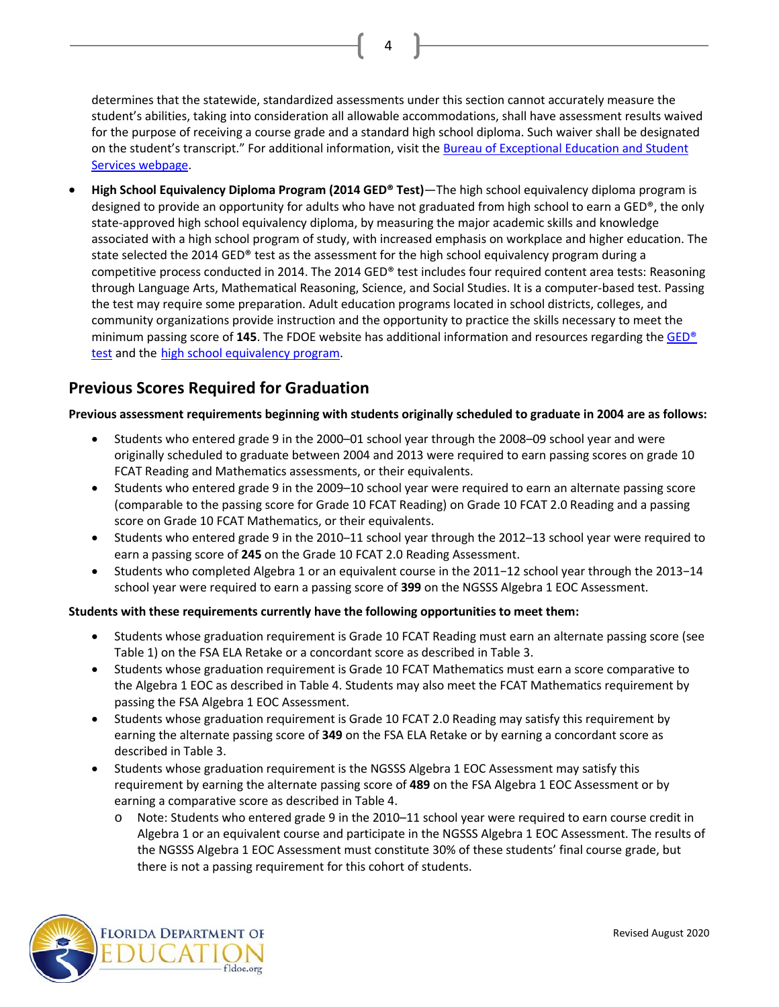determines that the statewide, standardized assessments under this section cannot accurately measure the student's abilities, taking into consideration all allowable accommodations, shall have assessment results waived for the purpose of receiving a course grade and a standard high school diploma. Such waiver shall be designated on the student's transcript." For additional information, visit th[e Bureau of Exceptional Education and Student](http://www.fldoe.org/academics/exceptional-student-edu)  [Services webpage.](http://www.fldoe.org/academics/exceptional-student-edu)

4

• **High School Equivalency Diploma Program (2014 GED® Test)**—The high school equivalency diploma program is designed to provide an opportunity for adults who have not graduated from high school to earn a GED®, the only state-approved high school equivalency diploma, by measuring the major academic skills and knowledge associated with a high school program of study, with increased emphasis on workplace and higher education. The state selected the 2014 GED® test as the assessment for the high school equivalency program during a competitive process conducted in 2014. The 2014 GED® test includes four required content area tests: Reasoning through Language Arts, Mathematical Reasoning, Science, and Social Studies. It is a computer-based test. Passing the test may require some preparation. Adult education programs located in school districts, colleges, and community organizations provide instruction and the opportunity to practice the skills necessary to meet the minimum passing score of **145**. The FDOE website has additional information and resources regarding th[e GED®](http://www.fldoe.org/academics/career-adult-edu/hse/)  [test](http://www.fldoe.org/academics/career-adult-edu/hse/) and the [high school equivalency program.](http://www.fldoe.org/academics/career-adult-edu/adult-edu/2018-2019-adult-edu-curriculum-framewo.stml)

## **Previous Scores Required for Graduation**

#### **Previous assessment requirements beginning with students originally scheduled to graduate in 2004 are as follows:**

- Students who entered grade 9 in the 2000–01 school year through the 2008–09 school year and were originally scheduled to graduate between 2004 and 2013 were required to earn passing scores on grade 10 FCAT Reading and Mathematics assessments, or their equivalents.
- Students who entered grade 9 in the 2009–10 school year were required to earn an alternate passing score (comparable to the passing score for Grade 10 FCAT Reading) on Grade 10 FCAT 2.0 Reading and a passing score on Grade 10 FCAT Mathematics, or their equivalents.
- Students who entered grade 9 in the 2010–11 school year through the 2012–13 school year were required to earn a passing score of **245** on the Grade 10 FCAT 2.0 Reading Assessment.
- Students who completed Algebra 1 or an equivalent course in the 2011−12 school year through the 2013−14 school year were required to earn a passing score of **399** on the NGSSS Algebra 1 EOC Assessment.

#### **Students with these requirements currently have the following opportunities to meet them:**

- Students whose graduation requirement is Grade 10 FCAT Reading must earn an alternate passing score (see Table 1) on the FSA ELA Retake or a concordant score as described in Table 3.
- Students whose graduation requirement is Grade 10 FCAT Mathematics must earn a score comparative to the Algebra 1 EOC as described in Table 4. Students may also meet the FCAT Mathematics requirement by passing the FSA Algebra 1 EOC Assessment.
- Students whose graduation requirement is Grade 10 FCAT 2.0 Reading may satisfy this requirement by earning the alternate passing score of **349** on the FSA ELA Retake or by earning a concordant score as described in Table 3.
- Students whose graduation requirement is the NGSSS Algebra 1 EOC Assessment may satisfy this requirement by earning the alternate passing score of **489** on the FSA Algebra 1 EOC Assessment or by earning a comparative score as described in Table 4.
	- Note: Students who entered grade 9 in the 2010–11 school year were required to earn course credit in Algebra 1 or an equivalent course and participate in the NGSSS Algebra 1 EOC Assessment. The results of the NGSSS Algebra 1 EOC Assessment must constitute 30% of these students' final course grade, but there is not a passing requirement for this cohort of students.

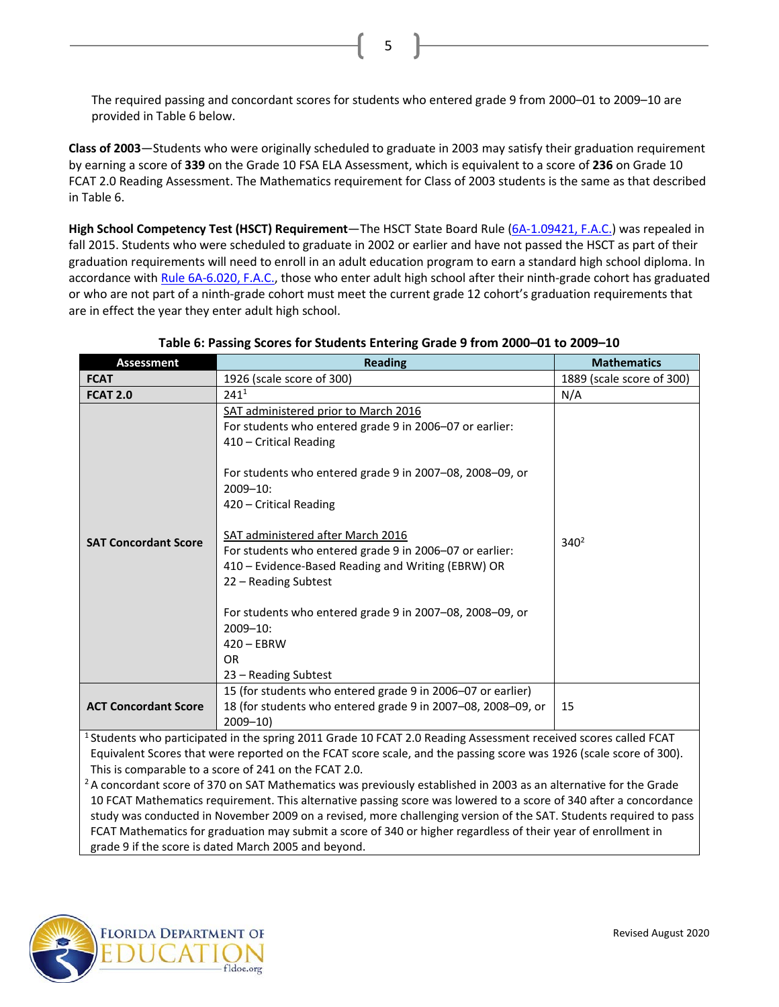The required passing and concordant scores for students who entered grade 9 from 2000–01 to 2009–10 are provided in Table 6 below.

5

**Class of 2003**—Students who were originally scheduled to graduate in 2003 may satisfy their graduation requirement by earning a score of **339** on the Grade 10 FSA ELA Assessment, which is equivalent to a score of **236** on Grade 10 FCAT 2.0 Reading Assessment. The Mathematics requirement for Class of 2003 students is the same as that described in Table 6.

**High School Competency Test (HSCT) Requirement**—The HSCT State Board Rule [\(6A-1.09421, F.A.C.\)](https://www.flrules.org/gateway/ruleno.asp?id=6A-1.09421) was repealed in fall 2015. Students who were scheduled to graduate in 2002 or earlier and have not passed the HSCT as part of their graduation requirements will need to enroll in an adult education program to earn a standard high school diploma. In accordance wit[h Rule 6A-6.020, F.A.C.,](https://www.flrules.org/gateway/ruleNo.asp?id=6A-6.020) those who enter adult high school after their ninth-grade cohort has graduated or who are not part of a ninth-grade cohort must meet the current grade 12 cohort's graduation requirements that are in effect the year they enter adult high school.

| <b>Assessment</b>                                                                                                                                                                                                                                                                                                                                   | <b>Reading</b>                                                                                                                                                                                                                                                                                                                                                                                                                                                                                                                                   | <b>Mathematics</b>        |
|-----------------------------------------------------------------------------------------------------------------------------------------------------------------------------------------------------------------------------------------------------------------------------------------------------------------------------------------------------|--------------------------------------------------------------------------------------------------------------------------------------------------------------------------------------------------------------------------------------------------------------------------------------------------------------------------------------------------------------------------------------------------------------------------------------------------------------------------------------------------------------------------------------------------|---------------------------|
| <b>FCAT</b>                                                                                                                                                                                                                                                                                                                                         | 1926 (scale score of 300)                                                                                                                                                                                                                                                                                                                                                                                                                                                                                                                        | 1889 (scale score of 300) |
| <b>FCAT 2.0</b>                                                                                                                                                                                                                                                                                                                                     | 241 <sup>1</sup>                                                                                                                                                                                                                                                                                                                                                                                                                                                                                                                                 | N/A                       |
| <b>SAT Concordant Score</b>                                                                                                                                                                                                                                                                                                                         | SAT administered prior to March 2016<br>For students who entered grade 9 in 2006-07 or earlier:<br>410 - Critical Reading<br>For students who entered grade 9 in 2007-08, 2008-09, or<br>$2009 - 10$ :<br>420 - Critical Reading<br>SAT administered after March 2016<br>For students who entered grade 9 in 2006-07 or earlier:<br>410 - Evidence-Based Reading and Writing (EBRW) OR<br>22 - Reading Subtest<br>For students who entered grade 9 in 2007-08, 2008-09, or<br>$2009 - 10$ :<br>$420 - EBRW$<br><b>OR</b><br>23 – Reading Subtest | $340^2$                   |
| <b>ACT Concordant Score</b>                                                                                                                                                                                                                                                                                                                         | 15 (for students who entered grade 9 in 2006-07 or earlier)<br>18 (for students who entered grade 9 in 2007-08, 2008-09, or<br>$2009 - 10$                                                                                                                                                                                                                                                                                                                                                                                                       | 15                        |
| <sup>1</sup> Students who participated in the spring 2011 Grade 10 FCAT 2.0 Reading Assessment received scores called FCAT                                                                                                                                                                                                                          |                                                                                                                                                                                                                                                                                                                                                                                                                                                                                                                                                  |                           |
| Equivalent Scores that were reported on the FCAT score scale, and the passing score was 1926 (scale score of 300).                                                                                                                                                                                                                                  |                                                                                                                                                                                                                                                                                                                                                                                                                                                                                                                                                  |                           |
| This is comparable to a score of 241 on the FCAT 2.0.                                                                                                                                                                                                                                                                                               |                                                                                                                                                                                                                                                                                                                                                                                                                                                                                                                                                  |                           |
| $2A$ concordant score of 370 on SAT Mathematics was previously established in 2003 as an alternative for the Grade                                                                                                                                                                                                                                  |                                                                                                                                                                                                                                                                                                                                                                                                                                                                                                                                                  |                           |
| 10 FCAT Mathematics requirement. This alternative passing score was lowered to a score of 340 after a concordance<br>in the development of the March of the 1990 and the control of the control of the CAT Christmas and the development of the control of the control of the control of the control of the control of the control of the control o |                                                                                                                                                                                                                                                                                                                                                                                                                                                                                                                                                  |                           |

#### **Table 6: Passing Scores for Students Entering Grade 9 from 2000–01 to 2009–10**

study was conducted in November 2009 on a revised, more challenging version of the SAT. Students required to pass FCAT Mathematics for graduation may submit a score of 340 or higher regardless of their year of enrollment in grade 9 if the score is dated March 2005 and beyond.